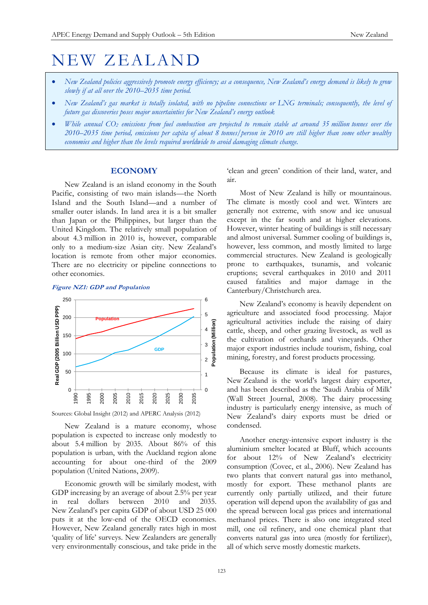# NEW ZEALAND

- *New Zealand policies aggressively promote energy efficiency; as a consequence, New Zealand's energy demand is likely to grow slowly if at all over the 2010–2035 time period.*
- *New Zealand's gas market is totally isolated, with no pipeline connections or LNG terminals; consequently, the level of future gas discoveries poses major uncertainties for New Zealand's energy outlook*
- *While annual CO<sup>2</sup> emissions from fuel combustion are projected to remain stable at around 35 million tonnes over the 2010–2035 time period, emissions per capita of about 8 tonnes/person in 2010 are still higher than some other wealthy economies and higher than the levels required worldwide to avoid damaging climate change.*

# **ECONOMY**

New Zealand is an island economy in the South Pacific, consisting of two main islands—the North Island and the South Island—and a number of smaller outer islands. In land area it is a bit smaller than Japan or the Philippines, but larger than the United Kingdom. The relatively small population of about 4.3 million in 2010 is, however, comparable only to a medium-size Asian city. New Zealand's location is remote from other major economies. There are no electricity or pipeline connections to other economies.

#### **Figure NZ1: GDP and Population**



Sources: Global Insight (2012) and APERC Analysis (2012)

New Zealand is a mature economy, whose population is expected to increase only modestly to about 5.4 million by 2035. About 86% of this population is urban, with the Auckland region alone accounting for about one-third of the 2009 population (United Nations, 2009).

Economic growth will be similarly modest, with GDP increasing by an average of about 2.5% per year in real dollars between 2010 and 2035. New Zealand's per capita GDP of about USD 25 000 puts it at the low-end of the OECD economies. However, New Zealand generally rates high in most 'quality of life' surveys. New Zealanders are generally very environmentally conscious, and take pride in the

'clean and green' condition of their land, water, and air.

Most of New Zealand is hilly or mountainous. The climate is mostly cool and wet. Winters are generally not extreme, with snow and ice unusual except in the far south and at higher elevations. However, winter heating of buildings is still necessary and almost universal. Summer cooling of buildings is, however, less common, and mostly limited to large commercial structures. New Zealand is geologically prone to earthquakes, tsunamis, and volcanic eruptions; several earthquakes in 2010 and 2011 caused fatalities and major damage in the Canterbury/Christchurch area.

New Zealand's economy is heavily dependent on agriculture and associated food processing. Major agricultural activities include the raising of dairy cattle, sheep, and other grazing livestock, as well as the cultivation of orchards and vineyards. Other major export industries include tourism, fishing, coal mining, forestry, and forest products processing.

Because its climate is ideal for pastures, New Zealand is the world's largest dairy exporter, and has been described as the 'Saudi Arabia of Milk' (Wall Street Journal, 2008). The dairy processing industry is particularly energy intensive, as much of New Zealand's dairy exports must be dried or condensed.

Another energy-intensive export industry is the aluminium smelter located at Bluff, which accounts for about 12% of New Zealand's electricity consumption (Covec, et al., 2006). New Zealand has two plants that convert natural gas into methanol, mostly for export. These methanol plants are currently only partially utilized, and their future operation will depend upon the availability of gas and the spread between local gas prices and international methanol prices. There is also one integrated steel mill, one oil refinery, and one chemical plant that converts natural gas into urea (mostly for fertilizer), all of which serve mostly domestic markets.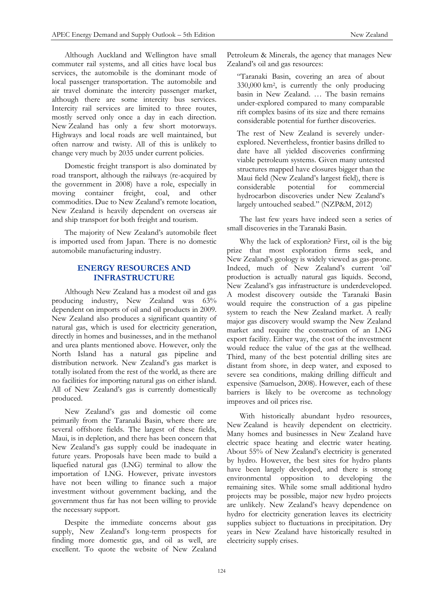Although Auckland and Wellington have small commuter rail systems, and all cities have local bus services, the automobile is the dominant mode of local passenger transportation. The automobile and air travel dominate the intercity passenger market, although there are some intercity bus services. Intercity rail services are limited to three routes, mostly served only once a day in each direction. New Zealand has only a few short motorways. Highways and local roads are well maintained, but often narrow and twisty. All of this is unlikely to change very much by 2035 under current policies.

Domestic freight transport is also dominated by road transport, although the railways (re-acquired by the government in 2008) have a role, especially in moving container freight, coal, and other commodities. Due to New Zealand's remote location, New Zealand is heavily dependent on overseas air and ship transport for both freight and tourism.

The majority of New Zealand's automobile fleet is imported used from Japan. There is no domestic automobile manufacturing industry.

# **ENERGY RESOURCES AND INFRASTRUCTURE**

Although New Zealand has a modest oil and gas producing industry, New Zealand was 63% dependent on imports of oil and oil products in 2009. New Zealand also produces a significant quantity of natural gas, which is used for electricity generation, directly in homes and businesses, and in the methanol and urea plants mentioned above. However, only the North Island has a natural gas pipeline and distribution network. New Zealand's gas market is totally isolated from the rest of the world, as there are no facilities for importing natural gas on either island. All of New Zealand's gas is currently domestically produced.

New Zealand's gas and domestic oil come primarily from the Taranaki Basin, where there are several offshore fields. The largest of these fields, Maui, is in depletion, and there has been concern that New Zealand's gas supply could be inadequate in future years. Proposals have been made to build a liquefied natural gas (LNG) terminal to allow the importation of LNG. However, private investors have not been willing to finance such a major investment without government backing, and the government thus far has not been willing to provide the necessary support.

Despite the immediate concerns about gas supply, New Zealand's long-term prospects for finding more domestic gas, and oil as well, are excellent. To quote the website of New Zealand Petroleum & Minerals, the agency that manages New Zealand's oil and gas resources:

"Taranaki Basin, covering an area of about 330,000 km<sup>2</sup> , is currently the only producing basin in New Zealand. … The basin remains under-explored compared to many comparable rift complex basins of its size and there remains considerable potential for further discoveries.

The rest of New Zealand is severely underexplored. Nevertheless, frontier basins drilled to date have all yielded discoveries confirming viable petroleum systems. Given many untested structures mapped have closures bigger than the Maui field (New Zealand's largest field), there is considerable potential for commercial hydrocarbon discoveries under New Zealand's largely untouched seabed." (NZP&M, 2012)

The last few years have indeed seen a series of small discoveries in the Taranaki Basin.

Why the lack of exploration? First, oil is the big prize that most exploration firms seek, and New Zealand's geology is widely viewed as gas-prone. Indeed, much of New Zealand's current 'oil' production is actually natural gas liquids. Second, New Zealand's gas infrastructure is underdeveloped. A modest discovery outside the Taranaki Basin would require the construction of a gas pipeline system to reach the New Zealand market. A really major gas discovery would swamp the New Zealand market and require the construction of an LNG export facility. Either way, the cost of the investment would reduce the value of the gas at the wellhead. Third, many of the best potential drilling sites are distant from shore, in deep water, and exposed to severe sea conditions, making drilling difficult and expensive (Samuelson, 2008). However, each of these barriers is likely to be overcome as technology improves and oil prices rise.

With historically abundant hydro resources, New Zealand is heavily dependent on electricity. Many homes and businesses in New Zealand have electric space heating and electric water heating. About 55% of New Zealand's electricity is generated by hydro. However, the best sites for hydro plants have been largely developed, and there is strong environmental opposition to developing the remaining sites. While some small additional hydro projects may be possible, major new hydro projects are unlikely. New Zealand's heavy dependence on hydro for electricity generation leaves its electricity supplies subject to fluctuations in precipitation. Dry years in New Zealand have historically resulted in electricity supply crises.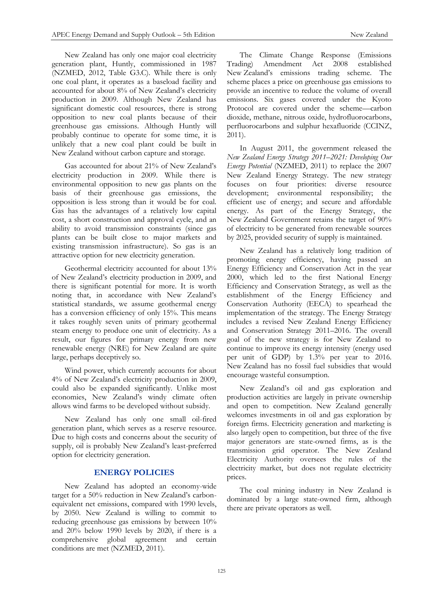New Zealand has only one major coal electricity generation plant, Huntly, commissioned in 1987 (NZMED, 2012, Table G3.C). While there is only one coal plant, it operates as a baseload facility and accounted for about 8% of New Zealand's electricity production in 2009. Although New Zealand has significant domestic coal resources, there is strong opposition to new coal plants because of their greenhouse gas emissions. Although Huntly will probably continue to operate for some time, it is unlikely that a new coal plant could be built in New Zealand without carbon capture and storage.

Gas accounted for about 21% of New Zealand's electricity production in 2009. While there is environmental opposition to new gas plants on the basis of their greenhouse gas emissions, the opposition is less strong than it would be for coal. Gas has the advantages of a relatively low capital cost, a short construction and approval cycle, and an ability to avoid transmission constraints (since gas plants can be built close to major markets and existing transmission infrastructure). So gas is an attractive option for new electricity generation.

Geothermal electricity accounted for about 13% of New Zealand's electricity production in 2009, and there is significant potential for more. It is worth noting that, in accordance with New Zealand's statistical standards, we assume geothermal energy has a conversion efficiency of only 15%. This means it takes roughly seven units of primary geothermal steam energy to produce one unit of electricity. As a result, our figures for primary energy from new renewable energy (NRE) for New Zealand are quite large, perhaps deceptively so.

Wind power, which currently accounts for about 4% of New Zealand's electricity production in 2009, could also be expanded significantly. Unlike most economies, New Zealand's windy climate often allows wind farms to be developed without subsidy.

New Zealand has only one small oil-fired generation plant, which serves as a reserve resource. Due to high costs and concerns about the security of supply, oil is probably New Zealand's least-preferred option for electricity generation.

## **ENERGY POLICIES**

New Zealand has adopted an economy-wide target for a 50% reduction in New Zealand's carbonequivalent net emissions, compared with 1990 levels, by 2050. New Zealand is willing to commit to reducing greenhouse gas emissions by between 10% and 20% below 1990 levels by 2020, if there is a comprehensive global agreement and certain conditions are met (NZMED, 2011).

The Climate Change Response (Emissions Trading) Amendment Act 2008 established New Zealand's emissions trading scheme. The scheme places a price on greenhouse gas emissions to provide an incentive to reduce the volume of overall emissions. Six gases covered under the Kyoto Protocol are covered under the scheme—carbon dioxide, methane, nitrous oxide, hydrofluorocarbons, perfluorocarbons and sulphur hexafluoride (CCINZ, 2011).

In August 2011, the government released the *New Zealand Energy Strategy 2011–2021: Developing Our Energy Potential* (NZMED, 2011) to replace the 2007 New Zealand Energy Strategy. The new strategy focuses on four priorities: diverse resource development; environmental responsibility; the efficient use of energy; and secure and affordable energy. As part of the Energy Strategy, the New Zealand Government retains the target of 90% of electricity to be generated from renewable sources by 2025, provided security of supply is maintained.

New Zealand has a relatively long tradition of promoting energy efficiency, having passed an Energy Efficiency and Conservation Act in the year 2000, which led to the first National Energy Efficiency and Conservation Strategy, as well as the establishment of the Energy Efficiency and Conservation Authority (EECA) to spearhead the implementation of the strategy. The Energy Strategy includes a revised New Zealand Energy Efficiency and Conservation Strategy 2011–2016. The overall goal of the new strategy is for New Zealand to continue to improve its energy intensity (energy used per unit of GDP) by 1.3% per year to 2016. New Zealand has no fossil fuel subsidies that would encourage wasteful consumption.

New Zealand's oil and gas exploration and production activities are largely in private ownership and open to competition. New Zealand generally welcomes investments in oil and gas exploration by foreign firms. Electricity generation and marketing is also largely open to competition, but three of the five major generators are state-owned firms, as is the transmission grid operator. The New Zealand Electricity Authority oversees the rules of the electricity market, but does not regulate electricity prices.

The coal mining industry in New Zealand is dominated by a large state-owned firm, although there are private operators as well.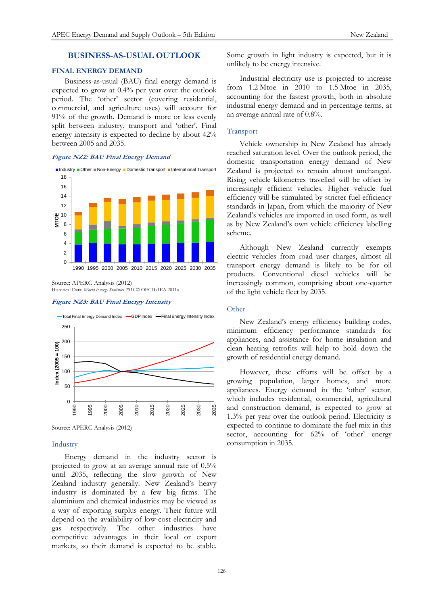# **BUSINESS-AS-USUAL OUTLOOK**

## **FINAL ENERGY DEMAND**

Business-as-usual (BAU) final energy demand is expected to grow at 0.4% per year over the outlook period. The 'other' sector (covering residential, commercial, and agriculture uses) will account for 91% of the growth. Demand is more or less evenly split between industry, transport and 'other'. Final energy intensity is expected to decline by about 42% between 2005 and 2035.

#### **Figure NZ2: BAU Final Energy Demand**



Source: APERC Analysis (2012) Historical Data: *World Energy Statistics 2011* © OECD/IEA 2011a

#### **Figure NZ3: BAU Final Energy Intensity**



Source: APERC Analysis (2012)

## Industry

Energy demand in the industry sector is projected to grow at an average annual rate of 0.5% until 2035, reflecting the slow growth of New Zealand industry generally. New Zealand's heavy industry is dominated by a few big firms. The aluminium and chemical industries may be viewed as a way of exporting surplus energy. Their future will depend on the availability of low-cost electricity and gas respectively. The other industries have competitive advantages in their local or export markets, so their demand is expected to be stable.

Some growth in light industry is expected, but it is unlikely to be energy intensive.

Industrial electricity use is projected to increase from 1.2 Mtoe in 2010 to 1.5 Mtoe in 2035, accounting for the fastest growth, both in absolute industrial energy demand and in percentage terms, at an average annual rate of 0.8%.

#### Transport

Vehicle ownership in New Zealand has already reached saturation level. Over the outlook period, the domestic transportation energy demand of New Zealand is projected to remain almost unchanged. Rising vehicle kilometres travelled will be offset by increasingly efficient vehicles. Higher vehicle fuel efficiency will be stimulated by stricter fuel efficiency standards in Japan, from which the majority of New Zealand's vehicles are imported in used form, as well as by New Zealand's own vehicle efficiency labelling scheme.

Although New Zealand currently exempts electric vehicles from road user charges, almost all transport energy demand is likely to be for oil products. Conventional diesel vehicles will be increasingly common, comprising about one-quarter of the light vehicle fleet by 2035.

#### **Other**

New Zealand's energy efficiency building codes, minimum efficiency performance standards for appliances, and assistance for home insulation and clean heating retrofits will help to hold down the growth of residential energy demand.

However, these efforts will be offset by a growing population, larger homes, and more appliances. Energy demand in the 'other' sector, which includes residential, commercial, agricultural and construction demand, is expected to grow at 1.3% per year over the outlook period. Electricity is expected to continue to dominate the fuel mix in this sector, accounting for 62% of 'other' energy consumption in 2035.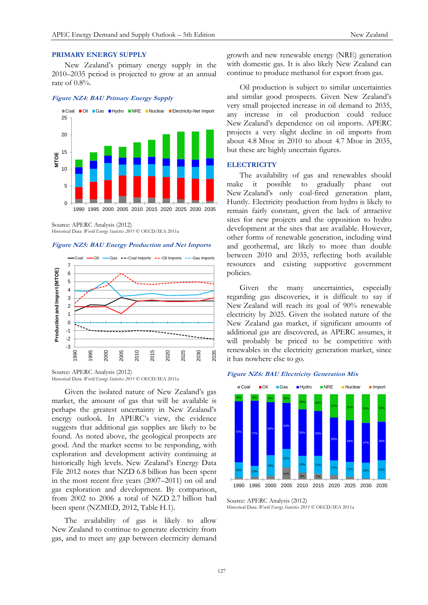# **PRIMARY ENERGY SUPPLY**

New Zealand's primary energy supply in the 2010–2035 period is projected to grow at an annual rate of 0.8%.

#### **Figure NZ4: BAU Primary Energy Supply**



Source: APERC Analysis (2012) Historical Data: *World Energy Statistics 2011* © OECD/IEA 2011a

#### **Figure NZ5: BAU Energy Production and Net Imports**



Source: APERC Analysis (2012) Historical Data: *World Energy Statistics 2011* © OECD/IEA 2011a

Given the isolated nature of New Zealand's gas market, the amount of gas that will be available is perhaps the greatest uncertainty in New Zealand's energy outlook. In APERC's view, the evidence suggests that additional gas supplies are likely to be found. As noted above, the geological prospects are good. And the market seems to be responding, with exploration and development activity continuing at historically high levels. New Zealand's Energy Data File 2012 notes that NZD 6.8 billion has been spent in the most recent five years (2007–2011) on oil and gas exploration and development. By comparison, from 2002 to 2006 a total of NZD 2.7 billion had been spent (NZMED, 2012, Table H.1).

The availability of gas is likely to allow New Zealand to continue to generate electricity from gas, and to meet any gap between electricity demand

growth and new renewable energy (NRE) generation with domestic gas. It is also likely New Zealand can continue to produce methanol for export from gas.

Oil production is subject to similar uncertainties and similar good prospects. Given New Zealand's very small projected increase in oil demand to 2035, any increase in oil production could reduce New Zealand's dependence on oil imports. APERC projects a very slight decline in oil imports from about 4.8 Mtoe in 2010 to about 4.7 Mtoe in 2035, but these are highly uncertain figures.

## **ELECTRICITY**

The availability of gas and renewables should make it possible to gradually phase out New Zealand's only coal-fired generation plant, Huntly. Electricity production from hydro is likely to remain fairly constant, given the lack of attractive sites for new projects and the opposition to hydro development at the sites that are available. However, other forms of renewable generation, including wind and geothermal, are likely to more than double between 2010 and 2035, reflecting both available resources and existing supportive government policies.

Given the many uncertainties, especially regarding gas discoveries, it is difficult to say if New Zealand will reach its goal of 90% renewable electricity by 2025. Given the isolated nature of the New Zealand gas market, if significant amounts of additional gas are discovered, as APERC assumes, it will probably be priced to be competitive with renewables in the electricity generation market, since it has nowhere else to go.

#### **Figure NZ6: BAU Electricity Generation Mix**





Historical Data: *World Energy Statistics 2011* © OECD/IEA 2011a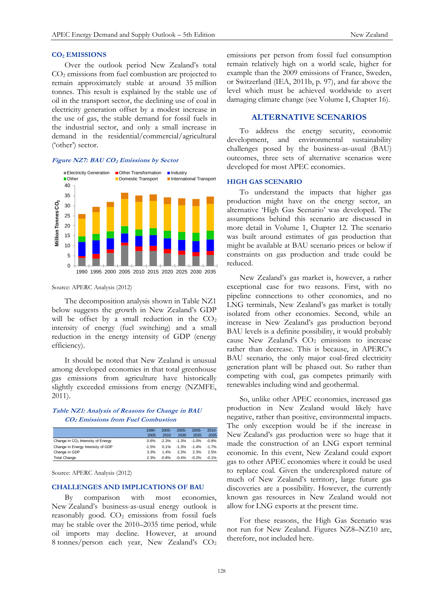## **CO<sup>2</sup> EMISSIONS**

Over the outlook period New Zealand's total CO<sup>2</sup> emissions from fuel combustion are projected to remain approximately stable at around 35 million tonnes. This result is explained by the stable use of oil in the transport sector, the declining use of coal in electricity generation offset by a modest increase in the use of gas, the stable demand for fossil fuels in the industrial sector, and only a small increase in demand in the residential/commercial/agricultural ('other') sector.

## **Figure NZ7: BAU CO<sup>2</sup> Emissions by Sector**



#### Source: APERC Analysis (2012)

The decomposition analysis shown in Table NZ1 below suggests the growth in New Zealand's GDP will be offset by a small reduction in the  $CO<sub>2</sub>$ intensity of energy (fuel switching) and a small reduction in the energy intensity of GDP (energy efficiency).

It should be noted that New Zealand is unusual among developed economies in that total greenhouse gas emissions from agriculture have historically slightly exceeded emissions from energy (NZMFE, 2011).

## **Table NZ1: Analysis of Reasons for Change in BAU CO2 Emissions from Fuel Combustion**

|                                               | 1990-   | $2005 -$ | $2005 -$ | $2005 -$ | $2010 -$ |
|-----------------------------------------------|---------|----------|----------|----------|----------|
|                                               | 2005    | 2010     | 2030     | 2035     | 2035     |
| Change in CO <sub>2</sub> Intensity of Energy | 0.6%    | $-2.3%$  | $-1.3%$  | $-1.0%$  | $-0.8%$  |
| Change in Energy Intensity of GDP             | $-1.5%$ | 0.1%     | $-1.3%$  | $-1.4%$  | $-1.7%$  |
| Change in GDP                                 | 3.3%    | 1.4%     | 2.3%     | 2.3%     | 2.5%     |
| <b>Total Change</b>                           | 2.3%    | $-0.8%$  | $-0.4%$  | $-0.2%$  | $-0.1%$  |

Source: APERC Analysis (2012)

#### **CHALLENGES AND IMPLICATIONS OF BAU**

By comparison with most economies, New Zealand's business-as-usual energy outlook is reasonably good.  $CO<sub>2</sub>$  emissions from fossil fuels may be stable over the 2010–2035 time period, while oil imports may decline. However, at around 8 tonnes/person each year, New Zealand's CO<sup>2</sup>

emissions per person from fossil fuel consumption remain relatively high on a world scale, higher for example than the 2009 emissions of France, Sweden, or Switzerland (IEA, 2011b, p. 97), and far above the level which must be achieved worldwide to avert damaging climate change (see Volume I, Chapter 16).

# **ALTERNATIVE SCENARIOS**

To address the energy security, economic development, and environmental sustainability challenges posed by the business-as-usual (BAU) outcomes, three sets of alternative scenarios were developed for most APEC economies.

#### **HIGH GAS SCENARIO**

To understand the impacts that higher gas production might have on the energy sector, an alternative 'High Gas Scenario' was developed. The assumptions behind this scenario are discussed in more detail in Volume 1, Chapter 12. The scenario was built around estimates of gas production that might be available at BAU scenario prices or below if constraints on gas production and trade could be reduced.

New Zealand's gas market is, however, a rather exceptional case for two reasons. First, with no pipeline connections to other economies, and no LNG terminals, New Zealand's gas market is totally isolated from other economies. Second, while an increase in New Zealand's gas production beyond BAU levels is a definite possibility, it would probably cause New Zealand's  $CO<sub>2</sub>$  emissions to increase rather than decrease. This is because, in APERC's BAU scenario, the only major coal-fired electricity generation plant will be phased out. So rather than competing with coal, gas competes primarily with renewables including wind and geothermal.

So, unlike other APEC economies, increased gas production in New Zealand would likely have negative, rather than positive, environmental impacts. The only exception would be if the increase in New Zealand's gas production were so huge that it made the construction of an LNG export terminal economic. In this event, New Zealand could export gas to other APEC economies where it could be used to replace coal. Given the underexplored nature of much of New Zealand's territory, large future gas discoveries are a possibility. However, the currently known gas resources in New Zealand would not allow for LNG exports at the present time.

For these reasons, the High Gas Scenario was not run for New Zealand. Figures NZ8–NZ10 are, therefore, not included here.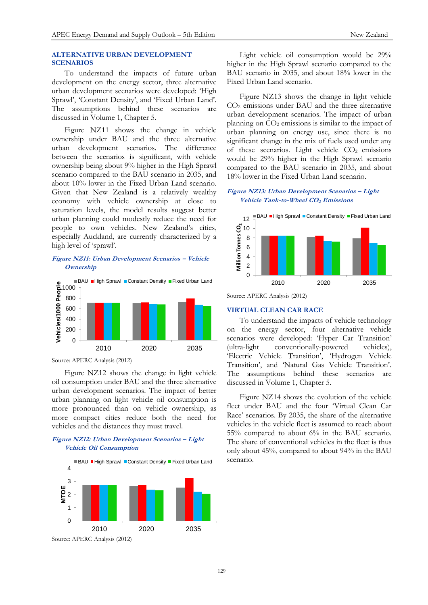## **ALTERNATIVE URBAN DEVELOPMENT SCENARIOS**

To understand the impacts of future urban development on the energy sector, three alternative urban development scenarios were developed: 'High Sprawl', 'Constant Density', and 'Fixed Urban Land'. The assumptions behind these scenarios are discussed in Volume 1, Chapter 5.

Figure NZ11 shows the change in vehicle ownership under BAU and the three alternative urban development scenarios. The difference between the scenarios is significant, with vehicle ownership being about 9% higher in the High Sprawl scenario compared to the BAU scenario in 2035, and about 10% lower in the Fixed Urban Land scenario. Given that New Zealand is a relatively wealthy economy with vehicle ownership at close to saturation levels, the model results suggest better urban planning could modestly reduce the need for people to own vehicles. New Zealand's cities, especially Auckland, are currently characterized by a high level of 'sprawl'.

# **Figure NZ11: Urban Development Scenarios – Vehicle Ownership**



Source: APERC Analysis (2012)

Figure NZ12 shows the change in light vehicle oil consumption under BAU and the three alternative urban development scenarios. The impact of better urban planning on light vehicle oil consumption is more pronounced than on vehicle ownership, as more compact cities reduce both the need for vehicles and the distances they must travel.

# **Figure NZ12: Urban Development Scenarios – Light Vehicle Oil Consumption**



Light vehicle oil consumption would be 29% higher in the High Sprawl scenario compared to the BAU scenario in 2035, and about 18% lower in the Fixed Urban Land scenario.

Figure NZ13 shows the change in light vehicle CO<sup>2</sup> emissions under BAU and the three alternative urban development scenarios. The impact of urban planning on  $CO<sub>2</sub>$  emissions is similar to the impact of urban planning on energy use, since there is no significant change in the mix of fuels used under any of these scenarios. Light vehicle  $CO<sub>2</sub>$  emissions would be 29% higher in the High Sprawl scenario compared to the BAU scenario in 2035, and about 18% lower in the Fixed Urban Land scenario.

## **Figure NZ13: Urban Development Scenarios – Light Vehicle Tank-to-Wheel CO2 Emissions**



Source: APERC Analysis (2012)

## **VIRTUAL CLEAN CAR RACE**

To understand the impacts of vehicle technology on the energy sector, four alternative vehicle scenarios were developed: 'Hyper Car Transition' (ultra-light conventionally-powered vehicles), 'Electric Vehicle Transition', 'Hydrogen Vehicle Transition', and 'Natural Gas Vehicle Transition'. The assumptions behind these scenarios are discussed in Volume 1, Chapter 5.

Figure NZ14 shows the evolution of the vehicle fleet under BAU and the four 'Virtual Clean Car Race' scenarios. By 2035, the share of the alternative vehicles in the vehicle fleet is assumed to reach about 55% compared to about 6% in the BAU scenario. The share of conventional vehicles in the fleet is thus only about 45%, compared to about 94% in the BAU scenario.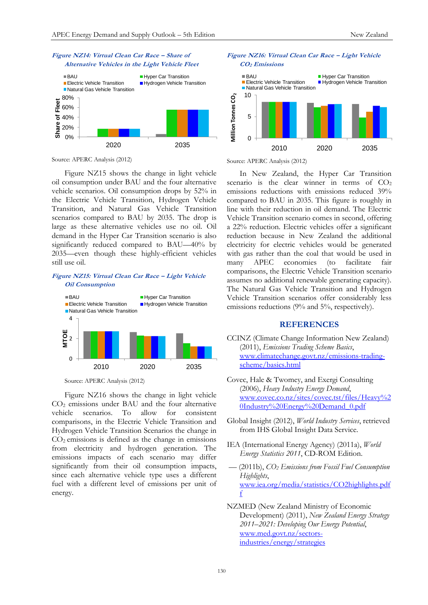



Source: APERC Analysis (2012)

Figure NZ15 shows the change in light vehicle oil consumption under BAU and the four alternative vehicle scenarios. Oil consumption drops by 52% in the Electric Vehicle Transition, Hydrogen Vehicle Transition, and Natural Gas Vehicle Transition scenarios compared to BAU by 2035. The drop is large as these alternative vehicles use no oil. Oil demand in the Hyper Car Transition scenario is also significantly reduced compared to BAU—40% by 2035—even though these highly-efficient vehicles still use oil.

## **Figure NZ15: Virtual Clean Car Race – Light Vehicle Oil Consumption**



Source: APERC Analysis (2012)

Figure NZ16 shows the change in light vehicle CO<sup>2</sup> emissions under BAU and the four alternative vehicle scenarios. To allow for consistent comparisons, in the Electric Vehicle Transition and Hydrogen Vehicle Transition Scenarios the change in  $CO<sub>2</sub>$  emissions is defined as the change in emissions from electricity and hydrogen generation. The emissions impacts of each scenario may differ significantly from their oil consumption impacts, since each alternative vehicle type uses a different fuel with a different level of emissions per unit of energy.



**Figure NZ16: Virtual Clean Car Race – Light Vehicle** 

Source: APERC Analysis (2012)

In New Zealand, the Hyper Car Transition scenario is the clear winner in terms of  $CO<sub>2</sub>$ emissions reductions with emissions reduced 39% compared to BAU in 2035. This figure is roughly in line with their reduction in oil demand. The Electric Vehicle Transition scenario comes in second, offering a 22% reduction. Electric vehicles offer a significant reduction because in New Zealand the additional electricity for electric vehicles would be generated with gas rather than the coal that would be used in many APEC economies (to facilitate fair comparisons, the Electric Vehicle Transition scenario assumes no additional renewable generating capacity). The Natural Gas Vehicle Transition and Hydrogen Vehicle Transition scenarios offer considerably less emissions reductions (9% and 5%, respectively).

## **REFERENCES**

- CCINZ (Climate Change Information New Zealand) (2011), *Emissions Trading Scheme Basics*, [www.climatechange.govt.nz/emissions-trading](http://www.climatechange.govt.nz/emissions-trading-scheme/basics.html)[scheme/basics.html](http://www.climatechange.govt.nz/emissions-trading-scheme/basics.html)
- Covec, Hale & Twomey, and Exergi Consulting (2006), *Heavy Industry Energy Demand*, [www.covec.co.nz/sites/covec.tst/files/Heavy%2](http://www.covec.co.nz/sites/covec.tst/files/Heavy%20Industry%20Energy%20Demand_0.pdf) [0Industry%20Energy%20Demand\\_0.pdf](http://www.covec.co.nz/sites/covec.tst/files/Heavy%20Industry%20Energy%20Demand_0.pdf)
- Global Insight (2012), *World Industry Services*, retrieved from IHS Global Insight Data Service.
- IEA (International Energy Agency) (2011a), *World Energy Statistics 2011*, CD-ROM Edition.
- –– (2011b), *CO<sup>2</sup> Emissions from Fossil Fuel Consumption Highlights*, www.iea.org/media/statistics/CO2highlights.pdf f
- NZMED (New Zealand Ministry of Economic Development) (2011), *New Zealand Energy Strategy 2011–2021: Developing Our Energy Potential*, [www.med.govt.nz/sectors](http://www.med.govt.nz/sectors-industries/energy/strategies)[industries/energy/strategies](http://www.med.govt.nz/sectors-industries/energy/strategies)